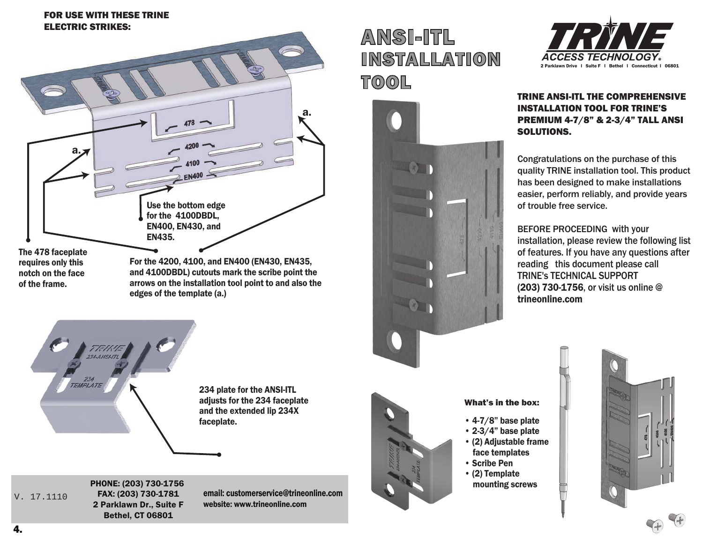#### FOR USE WITH THESE TRINE USING THE ANSI-ITL ELECTRIC STRIKES:



arrows on the installation tool point to and also the edges of the template (a.)



234 plate for the ANSI-ITL adjusts for the 234 faceplate and the extended lip 234X faceplate.

V. 17.1110

PHONE: (203) 730-1756 FAX: (203) 730-1781 2 Parklawn Dr., Suite F Bethel, CT 06801

FRAME.

email: customerservice@trineonline.com website: www.trineonline.com

# ANSI-ITL INSTALLATION  ${\tt TOOL}$  $\Box$ שע





### TRINE ANSI-ITL THE COMPREHENSIVE INSTALLATION TOOL FOR TRINE'S PREMIUM 4-7/8" & 2-3/4" TALL ANSI SOLUTIONS.

Congratulations on the purchase of this  $\blacksquare$  quality TRINE installation tool. This product  $\blacksquare$  has been designed to make installations easier, perform reliably, and provide years of trouble free service.  $\blacksquare$  Con

> BEFORE PROCEEDING with your installation, please review the following list of features. If you have any questions after reading this document please call TRINE's TECHNICAL SUPPORT (203) 730-1756, or visit us online @ trineonline.com



## What's in the box:

- 4-7/8" base plate
- 2-3/4" base plate
- $\cdot$  (2) Adjustable frame (a) The control terms
- Scribe Pen
- School en<br>• (2) Template mounting screws  $T_{\rm eff}$